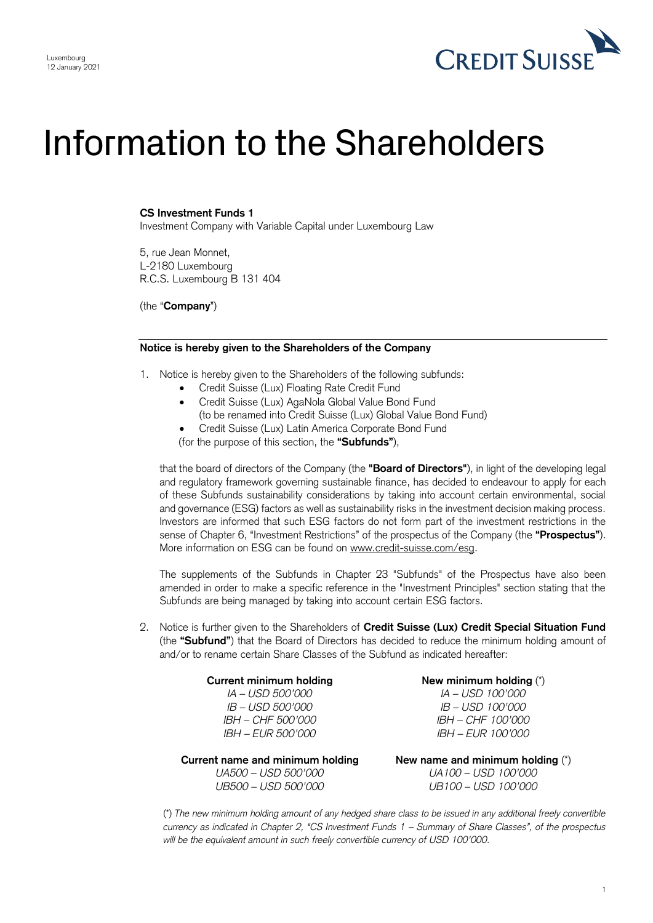

# Information to the Shareholders

## **CS Investment Funds 1**

Investment Company with Variable Capital under Luxembourg Law

5, rue Jean Monnet, L-2180 Luxembourg R.C.S. Luxembourg B 131 404

(the "**Company**")

### **Notice is hereby given to the Shareholders of the Company**

- 1. Notice is hereby given to the Shareholders of the following subfunds:
	- Credit Suisse (Lux) Floating Rate Credit Fund
	- Credit Suisse (Lux) AgaNola Global Value Bond Fund (to be renamed into Credit Suisse (Lux) Global Value Bond Fund)
	- Credit Suisse (Lux) Latin America Corporate Bond Fund

(for the purpose of this section, the **"Subfunds"**),

 that the board of directors of the Company (the **"Board of Directors"**), in light of the developing legal and regulatory framework governing sustainable finance, has decided to endeavour to apply for each of these Subfunds sustainability considerations by taking into account certain environmental, social and governance (ESG) factors as well as sustainability risks in the investment decision making process. Investors are informed that such ESG factors do not form part of the investment restrictions in the sense of Chapter 6, "Investment Restrictions" of the prospectus of the Company (the **"Prospectus"**). More information on ESG can be found on [www.credit-suisse.com/esg.](http://www.credit-suisse.com/esg)

 The supplements of the Subfunds in Chapter 23 "Subfunds" of the Prospectus have also been amended in order to make a specific reference in the "Investment Principles" section stating that the Subfunds are being managed by taking into account certain ESG factors.

 2. Notice is further given to the Shareholders of **Credit Suisse (Lux) Credit Special Situation Fund**  (the **"Subfund"**) that the Board of Directors has decided to reduce the minimum holding amount of and/or to rename certain Share Classes of the Subfund as indicated hereafter:

| <b>Current minimum holding</b>   | New minimum holding (*)            |
|----------------------------------|------------------------------------|
| IA – USD 500'000                 | <i>IA – USD 100'000</i>            |
| <i>IB – USD 500'000</i>          | IB - USD 100'000                   |
| IBH - CHF 500'000                | IBH - CHF 100'000                  |
| <i>IBH – EUR 500'000</i>         | <i>IBH – EUR 100'000</i>           |
| Current name and minimum holding | New name and minimum holding $(*)$ |
| UA500 - USD 500'000              | UA100 - USD 100'000                |
| UB500 - USD 500'000              | UB100 - USD 100'000                |

 *currency as indicated in Chapter 2, "CS Investment Funds 1 – Summary of Share Classes", of the prospectus* (\*) *The new minimum holding amount of any hedged share class to be issued in any additional freely convertible*  will be the equivalent amount in such freely convertible currency of USD 100'000.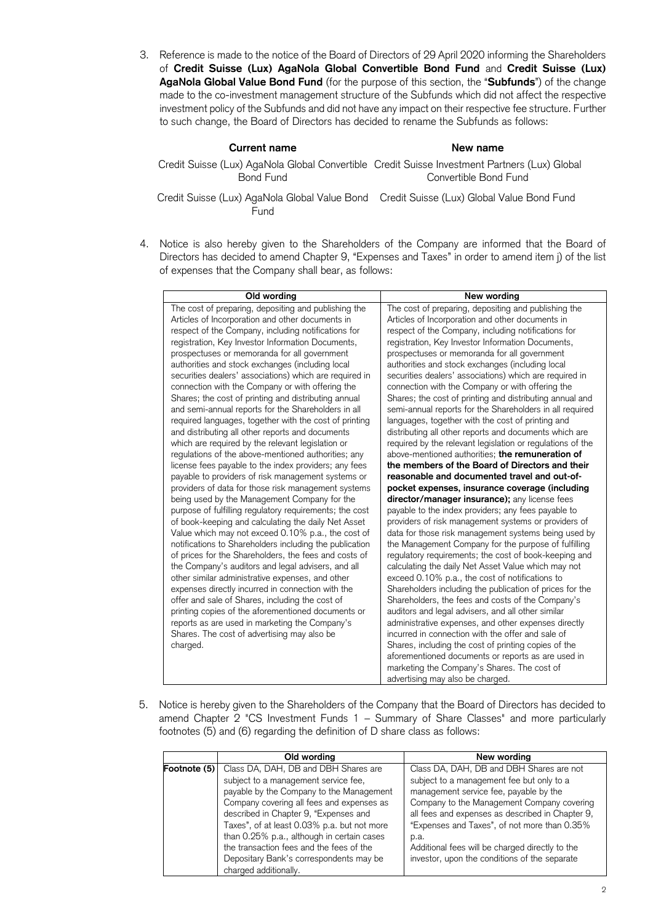3. Reference is made to the notice of the Board of Directors of 29 April 2020 informing the Shareholders made to the co-investment management structure of the Subfunds which did not affect the respective investment policy of the Subfunds and did not have any impact on their respective fee structure. Further to such change, the Board of Directors has decided to rename the Subfunds as follows: of **Credit Suisse (Lux) AgaNola Global Convertible Bond Fund** and **Credit Suisse (Lux) AgaNola Global Value Bond Fund** (for the purpose of this section, the "**Subfunds**") of the change

#### **Current name** New name

Credit Suisse (Lux) AgaNola Global Convertible Credit Suisse Investment Partners (Lux) Global Convertible Bond Fund

Credit Suisse (Lux) AgaNola Global Value Bond Credit Suisse (Lux) Global Value Bond Fund Fund

 4. Notice is also hereby given to the Shareholders of the Company are informed that the Board of Directors has decided to amend Chapter 9, "Expenses and Taxes" in order to amend item j) of the list of expenses that the Company shall bear, as follows:

| Old wording                                             | New wording                                                |
|---------------------------------------------------------|------------------------------------------------------------|
| The cost of preparing, depositing and publishing the    | The cost of preparing, depositing and publishing the       |
| Articles of Incorporation and other documents in        | Articles of Incorporation and other documents in           |
| respect of the Company, including notifications for     | respect of the Company, including notifications for        |
| registration, Key Investor Information Documents,       | registration, Key Investor Information Documents,          |
| prospectuses or memoranda for all government            | prospectuses or memoranda for all government               |
| authorities and stock exchanges (including local        | authorities and stock exchanges (including local           |
| securities dealers' associations) which are required in | securities dealers' associations) which are required in    |
| connection with the Company or with offering the        | connection with the Company or with offering the           |
| Shares; the cost of printing and distributing annual    | Shares; the cost of printing and distributing annual and   |
| and semi-annual reports for the Shareholders in all     | semi-annual reports for the Shareholders in all required   |
| required languages, together with the cost of printing  | languages, together with the cost of printing and          |
| and distributing all other reports and documents        | distributing all other reports and documents which are     |
| which are required by the relevant legislation or       | required by the relevant legislation or regulations of the |
| regulations of the above-mentioned authorities; any     | above-mentioned authorities; the remuneration of           |
| license fees payable to the index providers; any fees   | the members of the Board of Directors and their            |
| payable to providers of risk management systems or      | reasonable and documented travel and out-of-               |
| providers of data for those risk management systems     | pocket expenses, insurance coverage (including             |
| being used by the Management Company for the            | director/manager insurance); any license fees              |
| purpose of fulfilling regulatory requirements; the cost | payable to the index providers; any fees payable to        |
| of book-keeping and calculating the daily Net Asset     | providers of risk management systems or providers of       |
| Value which may not exceed 0.10% p.a., the cost of      | data for those risk management systems being used by       |
| notifications to Shareholders including the publication | the Management Company for the purpose of fulfilling       |
| of prices for the Shareholders, the fees and costs of   | regulatory requirements; the cost of book-keeping and      |
| the Company's auditors and legal advisers, and all      | calculating the daily Net Asset Value which may not        |
| other similar administrative expenses, and other        | exceed 0.10% p.a., the cost of notifications to            |
| expenses directly incurred in connection with the       | Shareholders including the publication of prices for the   |
| offer and sale of Shares, including the cost of         | Shareholders, the fees and costs of the Company's          |
| printing copies of the aforementioned documents or      | auditors and legal advisers, and all other similar         |
| reports as are used in marketing the Company's          | administrative expenses, and other expenses directly       |
| Shares. The cost of advertising may also be             | incurred in connection with the offer and sale of          |
| charged.                                                | Shares, including the cost of printing copies of the       |
|                                                         | aforementioned documents or reports as are used in         |
|                                                         | marketing the Company's Shares. The cost of                |
|                                                         | advertising may also be charged.                           |

 5. Notice is hereby given to the Shareholders of the Company that the Board of Directors has decided to amend Chapter 2 "CS Investment Funds 1 – Summary of Share Classes" and more particularly footnotes (5) and (6) regarding the definition of D share class as follows:

|              | Old wording                                 | New wording                                      |
|--------------|---------------------------------------------|--------------------------------------------------|
| Footnote (5) | Class DA, DAH, DB and DBH Shares are        | Class DA, DAH, DB and DBH Shares are not         |
|              | subject to a management service fee,        | subject to a management fee but only to a        |
|              | payable by the Company to the Management    | management service fee, payable by the           |
|              | Company covering all fees and expenses as   | Company to the Management Company covering       |
|              | described in Chapter 9, "Expenses and       | all fees and expenses as described in Chapter 9, |
|              | Taxes", of at least 0.03% p.a. but not more | "Expenses and Taxes", of not more than 0.35%     |
|              | than 0.25% p.a., although in certain cases  | p.a.                                             |
|              | the transaction fees and the fees of the    | Additional fees will be charged directly to the  |
|              | Depositary Bank's correspondents may be     | investor, upon the conditions of the separate    |
|              | charged additionally.                       |                                                  |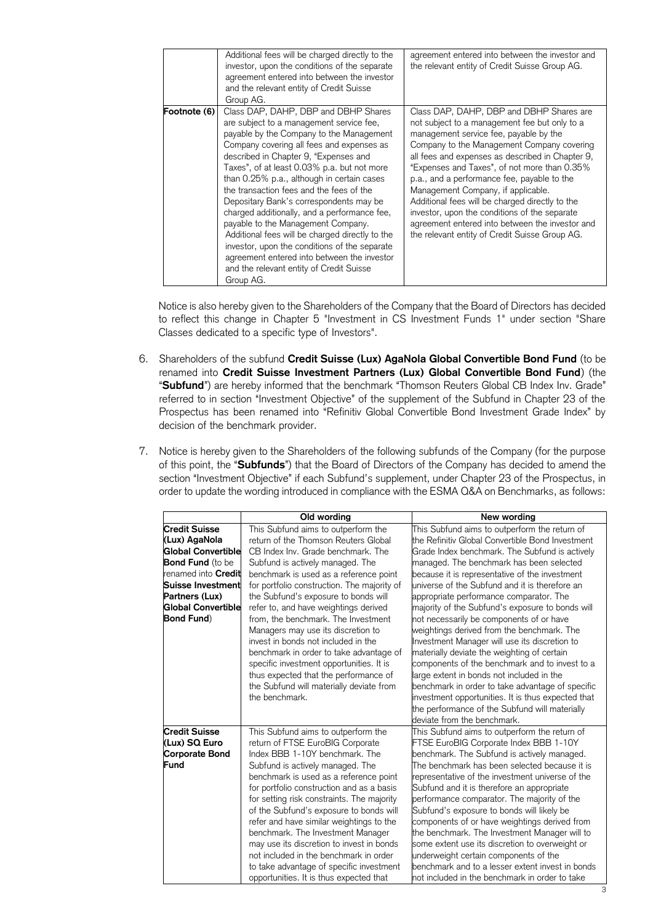|              | Additional fees will be charged directly to the<br>investor, upon the conditions of the separate<br>agreement entered into between the investor<br>and the relevant entity of Credit Suisse<br>Group AG.                                                                                                                                                                                                                                                                                                                                                                                                                                                                                                 | agreement entered into between the investor and<br>the relevant entity of Credit Suisse Group AG.                                                                                                                                                                                                                                                                                                                                                                                                                                                                                   |
|--------------|----------------------------------------------------------------------------------------------------------------------------------------------------------------------------------------------------------------------------------------------------------------------------------------------------------------------------------------------------------------------------------------------------------------------------------------------------------------------------------------------------------------------------------------------------------------------------------------------------------------------------------------------------------------------------------------------------------|-------------------------------------------------------------------------------------------------------------------------------------------------------------------------------------------------------------------------------------------------------------------------------------------------------------------------------------------------------------------------------------------------------------------------------------------------------------------------------------------------------------------------------------------------------------------------------------|
| Footnote (6) | Class DAP, DAHP, DBP and DBHP Shares<br>are subject to a management service fee,<br>payable by the Company to the Management<br>Company covering all fees and expenses as<br>described in Chapter 9, "Expenses and<br>Taxes", of at least 0.03% p.a. but not more<br>than 0.25% p.a., although in certain cases<br>the transaction fees and the fees of the<br>Depositary Bank's correspondents may be<br>charged additionally, and a performance fee,<br>payable to the Management Company.<br>Additional fees will be charged directly to the<br>investor, upon the conditions of the separate<br>agreement entered into between the investor<br>and the relevant entity of Credit Suisse<br>Group AG. | Class DAP, DAHP, DBP and DBHP Shares are<br>not subject to a management fee but only to a<br>management service fee, payable by the<br>Company to the Management Company covering<br>all fees and expenses as described in Chapter 9,<br>"Expenses and Taxes", of not more than 0.35%<br>p.a., and a performance fee, payable to the<br>Management Company, if applicable.<br>Additional fees will be charged directly to the<br>investor, upon the conditions of the separate<br>agreement entered into between the investor and<br>the relevant entity of Credit Suisse Group AG. |

 Notice is also hereby given to the Shareholders of the Company that the Board of Directors has decided to reflect this change in Chapter 5 "Investment in CS Investment Funds 1" under section "Share Classes dedicated to a specific type of Investors".

- 6. Shareholders of the subfund **Credit Suisse (Lux) AgaNola Global Convertible Bond Fund** (to be renamed into **Credit Suisse Investment Partners (Lux) Global Convertible Bond Fund**) (the "**Subfund**") are hereby informed that the benchmark "Thomson Reuters Global CB Index Inv. Grade" referred to in section "Investment Objective" of the supplement of the Subfund in Chapter 23 of the Prospectus has been renamed into "Refinitiv Global Convertible Bond Investment Grade Index" by decision of the benchmark provider.
- 7. Notice is hereby given to the Shareholders of the following subfunds of the Company (for the purpose of this point, the "**Subfunds**") that the Board of Directors of the Company has decided to amend the section "Investment Objective" if each Subfund's supplement, under Chapter 23 of the Prospectus, in order to update the wording introduced in compliance with the ESMA Q&A on Benchmarks, as follows:

|                         | Old wording                                 | New wording                                        |
|-------------------------|---------------------------------------------|----------------------------------------------------|
| <b>Credit Suisse</b>    | This Subfund aims to outperform the         | This Subfund aims to outperform the return of      |
| (Lux) AgaNola           | return of the Thomson Reuters Global        | the Refinitiv Global Convertible Bond Investment   |
| Global Convertible      | CB Index Inv. Grade benchmark. The          | Grade Index benchmark. The Subfund is actively     |
| <b>Bond Fund</b> (to be | Subfund is actively managed. The            | managed. The benchmark has been selected           |
| renamed into Credit     | benchmark is used as a reference point      | because it is representative of the investment     |
| Suisse Investment       | for portfolio construction. The majority of | universe of the Subfund and it is therefore an     |
| Partners (Lux)          | the Subfund's exposure to bonds will        | appropriate performance comparator. The            |
| Global Convertible      | refer to, and have weightings derived       | majority of the Subfund's exposure to bonds will   |
| <b>Bond Fund</b> )      | from, the benchmark. The Investment         | not necessarily be components of or have           |
|                         | Managers may use its discretion to          | weightings derived from the benchmark. The         |
|                         | invest in bonds not included in the         | Investment Manager will use its discretion to      |
|                         | benchmark in order to take advantage of     | materially deviate the weighting of certain        |
|                         | specific investment opportunities. It is    | components of the benchmark and to invest to a     |
|                         | thus expected that the performance of       | large extent in bonds not included in the          |
|                         | the Subfund will materially deviate from    | benchmark in order to take advantage of specific   |
|                         | the benchmark.                              | investment opportunities. It is thus expected that |
|                         |                                             | the performance of the Subfund will materially     |
|                         |                                             | deviate from the benchmark.                        |
| <b>Credit Suisse</b>    | This Subfund aims to outperform the         | This Subfund aims to outperform the return of      |
| (Lux) SQ Euro           | return of FTSE EuroBIG Corporate            | FTSE EuroBIG Corporate Index BBB 1-10Y             |
| <b>Corporate Bond</b>   | Index BBB 1-10Y benchmark. The              | benchmark. The Subfund is actively managed.        |
| Fund                    | Subfund is actively managed. The            | The benchmark has been selected because it is      |
|                         | benchmark is used as a reference point      | representative of the investment universe of the   |
|                         | for portfolio construction and as a basis   | Subfund and it is therefore an appropriate         |
|                         | for setting risk constraints. The majority  | performance comparator. The majority of the        |
|                         | of the Subfund's exposure to bonds will     | Subfund's exposure to bonds will likely be         |
|                         | refer and have similar weightings to the    | components of or have weightings derived from      |
|                         | benchmark. The Investment Manager           | the benchmark. The Investment Manager will to      |
|                         | may use its discretion to invest in bonds   | some extent use its discretion to overweight or    |
|                         | not included in the benchmark in order      | underweight certain components of the              |
|                         | to take advantage of specific investment    | benchmark and to a lesser extent invest in bonds   |
|                         | opportunities. It is thus expected that     | not included in the benchmark in order to take     |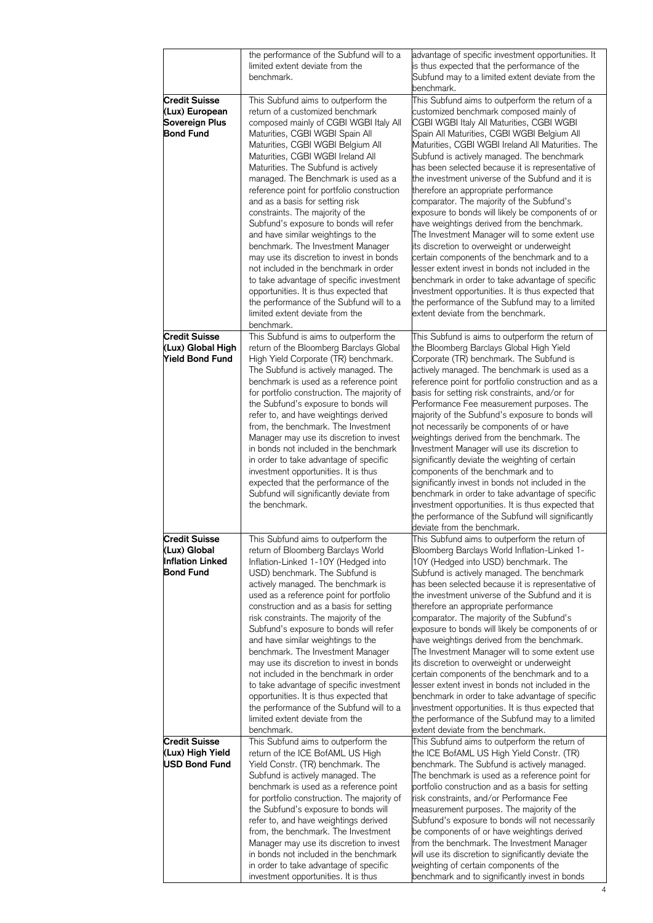|                                                                              | the performance of the Subfund will to a<br>limited extent deviate from the<br>benchmark.                                                                                                                                                                                                                                                                                                                                                                                                                                                                                                                                                                                                                                                                                                                                         | advantage of specific investment opportunities. It<br>is thus expected that the performance of the<br>Subfund may to a limited extent deviate from the<br>benchmark.                                                                                                                                                                                                                                                                                                                                                                                                                                                                                                                                                                                                                                                                                                                                                                                                                                 |
|------------------------------------------------------------------------------|-----------------------------------------------------------------------------------------------------------------------------------------------------------------------------------------------------------------------------------------------------------------------------------------------------------------------------------------------------------------------------------------------------------------------------------------------------------------------------------------------------------------------------------------------------------------------------------------------------------------------------------------------------------------------------------------------------------------------------------------------------------------------------------------------------------------------------------|------------------------------------------------------------------------------------------------------------------------------------------------------------------------------------------------------------------------------------------------------------------------------------------------------------------------------------------------------------------------------------------------------------------------------------------------------------------------------------------------------------------------------------------------------------------------------------------------------------------------------------------------------------------------------------------------------------------------------------------------------------------------------------------------------------------------------------------------------------------------------------------------------------------------------------------------------------------------------------------------------|
| <b>Credit Suisse</b><br>(Lux) European<br>Sovereign Plus<br><b>Bond Fund</b> | This Subfund aims to outperform the<br>return of a customized benchmark<br>composed mainly of CGBI WGBI Italy All<br>Maturities, CGBI WGBI Spain All<br>Maturities, CGBI WGBI Belgium All<br>Maturities, CGBI WGBI Ireland All<br>Maturities. The Subfund is actively<br>managed. The Benchmark is used as a<br>reference point for portfolio construction<br>and as a basis for setting risk<br>constraints. The majority of the<br>Subfund's exposure to bonds will refer<br>and have similar weightings to the<br>benchmark. The Investment Manager<br>may use its discretion to invest in bonds<br>not included in the benchmark in order<br>to take advantage of specific investment<br>opportunities. It is thus expected that<br>the performance of the Subfund will to a<br>limited extent deviate from the<br>benchmark. | This Subfund aims to outperform the return of a<br>customized benchmark composed mainly of<br>CGBI WGBI Italy All Maturities, CGBI WGBI<br>Spain All Maturities, CGBI WGBI Belgium All<br>Maturities, CGBI WGBI Ireland All Maturities. The<br>Subfund is actively managed. The benchmark<br>has been selected because it is representative of<br>the investment universe of the Subfund and it is<br>therefore an appropriate performance<br>comparator. The majority of the Subfund's<br>exposure to bonds will likely be components of or<br>have weightings derived from the benchmark.<br>The Investment Manager will to some extent use<br>its discretion to overweight or underweight<br>certain components of the benchmark and to a<br>lesser extent invest in bonds not included in the<br>benchmark in order to take advantage of specific<br>investment opportunities. It is thus expected that<br>the performance of the Subfund may to a limited<br>extent deviate from the benchmark. |
| <b>Credit Suisse</b><br>(Lux) Global High<br><b>Yield Bond Fund</b>          | This Subfund is aims to outperform the<br>return of the Bloomberg Barclays Global<br>High Yield Corporate (TR) benchmark.<br>The Subfund is actively managed. The<br>benchmark is used as a reference point<br>for portfolio construction. The majority of<br>the Subfund's exposure to bonds will<br>refer to, and have weightings derived<br>from, the benchmark. The Investment<br>Manager may use its discretion to invest<br>in bonds not included in the benchmark<br>in order to take advantage of specific<br>investment opportunities. It is thus<br>expected that the performance of the<br>Subfund will significantly deviate from<br>the benchmark.                                                                                                                                                                   | This Subfund is aims to outperform the return of<br>the Bloomberg Barclays Global High Yield<br>Corporate (TR) benchmark. The Subfund is<br>actively managed. The benchmark is used as a<br>reference point for portfolio construction and as a<br>basis for setting risk constraints, and/or for<br>Performance Fee measurement purposes. The<br>majority of the Subfund's exposure to bonds will<br>not necessarily be components of or have<br>weightings derived from the benchmark. The<br>Investment Manager will use its discretion to<br>significantly deviate the weighting of certain<br>components of the benchmark and to<br>significantly invest in bonds not included in the<br>benchmark in order to take advantage of specific<br>investment opportunities. It is thus expected that<br>the performance of the Subfund will significantly<br>deviate from the benchmark.                                                                                                             |
| <b>Credit Suisse</b><br>(Lux) Global<br><b>Inflation Linked</b><br>Bond Fund | This Subfund aims to outperform the<br>return of Bloomberg Barclays World<br>Inflation-Linked 1-10Y (Hedged into<br>USD) benchmark. The Subfund is<br>actively managed. The benchmark is<br>used as a reference point for portfolio<br>construction and as a basis for setting<br>risk constraints. The majority of the<br>Subfund's exposure to bonds will refer<br>and have similar weightings to the<br>benchmark. The Investment Manager<br>may use its discretion to invest in bonds<br>not included in the benchmark in order<br>to take advantage of specific investment<br>opportunities. It is thus expected that<br>the performance of the Subfund will to a<br>limited extent deviate from the<br>benchmark.                                                                                                           | This Subfund aims to outperform the return of<br>Bloomberg Barclays World Inflation-Linked 1-<br>10Y (Hedged into USD) benchmark. The<br>Subfund is actively managed. The benchmark<br>has been selected because it is representative of<br>the investment universe of the Subfund and it is<br>therefore an appropriate performance<br>comparator. The majority of the Subfund's<br>exposure to bonds will likely be components of or<br>have weightings derived from the benchmark.<br>The Investment Manager will to some extent use<br>its discretion to overweight or underweight<br>certain components of the benchmark and to a<br>lesser extent invest in bonds not included in the<br>benchmark in order to take advantage of specific<br>investment opportunities. It is thus expected that<br>the performance of the Subfund may to a limited<br>extent deviate from the benchmark.                                                                                                       |
| <b>Credit Suisse</b><br>(Lux) High Yield<br><b>USD Bond Fund</b>             | This Subfund aims to outperform the<br>return of the ICE BofAML US High<br>Yield Constr. (TR) benchmark. The<br>Subfund is actively managed. The<br>benchmark is used as a reference point<br>for portfolio construction. The majority of<br>the Subfund's exposure to bonds will<br>refer to, and have weightings derived<br>from, the benchmark. The Investment<br>Manager may use its discretion to invest<br>in bonds not included in the benchmark<br>in order to take advantage of specific<br>investment opportunities. It is thus                                                                                                                                                                                                                                                                                         | This Subfund aims to outperform the return of<br>the ICE BofAML US High Yield Constr. (TR)<br>benchmark. The Subfund is actively managed.<br>The benchmark is used as a reference point for<br>portfolio construction and as a basis for setting<br>risk constraints, and/or Performance Fee<br>measurement purposes. The majority of the<br>Subfund's exposure to bonds will not necessarily<br>be components of or have weightings derived<br>from the benchmark. The Investment Manager<br>will use its discretion to significantly deviate the<br>weighting of certain components of the<br>benchmark and to significantly invest in bonds                                                                                                                                                                                                                                                                                                                                                       |